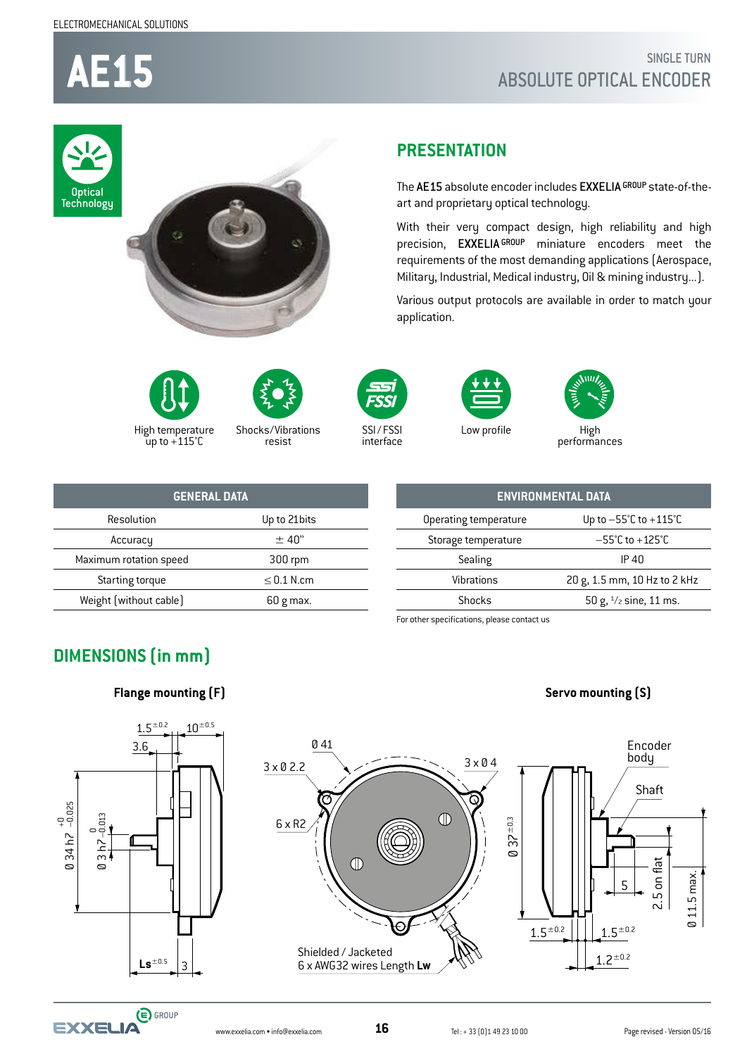**AE15**

### SINGLE TURN ABSOLUTE OPTICAL ENCODER

The AE15 absolute encoder includes EXXELIA GROUP state-of-the-

With their very compact design, high reliability and high precision, EXXELIA GROUP miniature encoders meet the requirements of the most demanding applications (Aerospace, Military, Industrial, Medical industry, Oil & mining industry...). Various output protocols are available in order to match your









High temperature  $\frac{1}{2}$ up to +115°C

Shocks/Vibrations resist



application.

SSI / FSSI interface



**PRESENTATION** 

art and proprietary optical technology.

Low profile



High<br>performances

| <b>GENERAL DATA</b>    |                 |  |  |  |  |
|------------------------|-----------------|--|--|--|--|
| Resolution             | Up to 21 bits   |  |  |  |  |
| Accuracy               | $±$ 40"         |  |  |  |  |
| Maximum rotation speed | 300 rpm         |  |  |  |  |
| Starting torque        | $\leq$ 0.1 N.cm |  |  |  |  |
| Weight [without cable] | $60 g$ max.     |  |  |  |  |

**ENVIRONMENTAL DATA** Operating temperature Up to -55°C to +115°C Storage temperature  $-55^{\circ}$ C to +125 $^{\circ}$ C Sealing IP 40 Vibrations 20 g, 1.5 mm, 10 Hz to 2 kHz Shocks  $50 g$ ,  $\frac{1}{2}$  sine, 11 ms.

For other specifications, please contact us

### **DIMENSIONS (in mm)**

**Flange mounting (F) Servo mounting (S)**





Ø 34 h7

 $\frac{7}{3}$  $\circ$ بر<br>17

+0 –0.025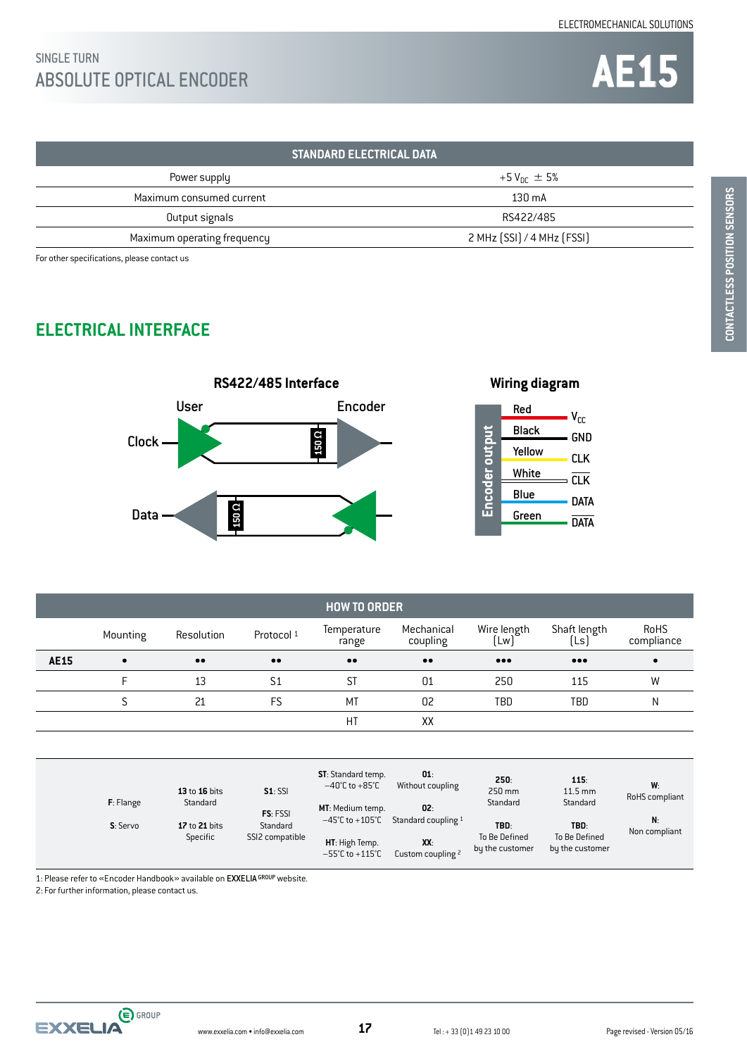## SINGLE TURN<br>ABSOLUTE OPTICAL ENCODER SINGLE TURN

| <b>STANDARD ELECTRICAL DATA</b> |                            |  |  |  |
|---------------------------------|----------------------------|--|--|--|
| Power supply                    | +5 $V_{\text{nr}} \pm 5\%$ |  |  |  |
| Maximum consumed current        | $130 \text{ mA}$           |  |  |  |
| Output signals                  | RS422/485                  |  |  |  |
| Maximum operating frequency     | 2 MHz (SSI) / 4 MHz (FSSI) |  |  |  |

For other specifications, please contact us

### **ELECTRICAL INTERFACE**





| <b>HOW TO ORDER</b> |           |                  |                  |                      |                        |                         |                         |                    |
|---------------------|-----------|------------------|------------------|----------------------|------------------------|-------------------------|-------------------------|--------------------|
|                     | Mounting  | Resolution       | Protocol 1       | Temperature<br>range | Mechanical<br>coupling | Wire length<br>Lw       | Shaft length<br>[Ls]    | RoHS<br>compliance |
| <b>AE15</b>         | $\bullet$ | $\bullet\bullet$ | $\bullet\bullet$ | $\bullet\bullet$     | $\bullet\bullet$       | $\bullet\bullet\bullet$ | $\bullet\bullet\bullet$ | $\bullet$          |
|                     |           | 13               | S1               | ST                   | 01                     | 250                     | 115                     | W                  |
|                     |           | 21               | FS               | MT                   | 02                     | TBD                     | TBD                     | N                  |
|                     |           |                  |                  | НT                   | XX                     |                         |                         |                    |

| $F:$ Flange | 13 to 16 bits<br>Standard                         | $S1:$ SSI       |                                                                                              | <b>ST:</b> Standard temp.<br>$-40^{\circ}$ C to +85 $^{\circ}$ C<br>MT: Medium temp. | 01:<br>Without coupling<br>02:           | 250:<br>250 mm<br>Standard               | 115:<br>$11.5 \text{ mm}$<br>Standard | W:<br>RoHS compliant |
|-------------|---------------------------------------------------|-----------------|----------------------------------------------------------------------------------------------|--------------------------------------------------------------------------------------|------------------------------------------|------------------------------------------|---------------------------------------|----------------------|
| S: Servo    | FS: FSSI<br>Standard<br>17 to 21 bits<br>Specific | SSI2 compatible | $-45^{\circ}$ C to $+105^{\circ}$ C<br>HT: High Temp.<br>$-55^{\circ}$ C to $+115^{\circ}$ C | Standard coupling 1<br>XX:<br>Custom coupling 2                                      | TBD:<br>To Be Defined<br>by the customer | TBD:<br>To Be Defined<br>by the customer | N:<br>Non compliant                   |                      |

1: Please refer to «Encoder Handbook» available on EXXELIA GROUP website.

2: For further information, please contact us.

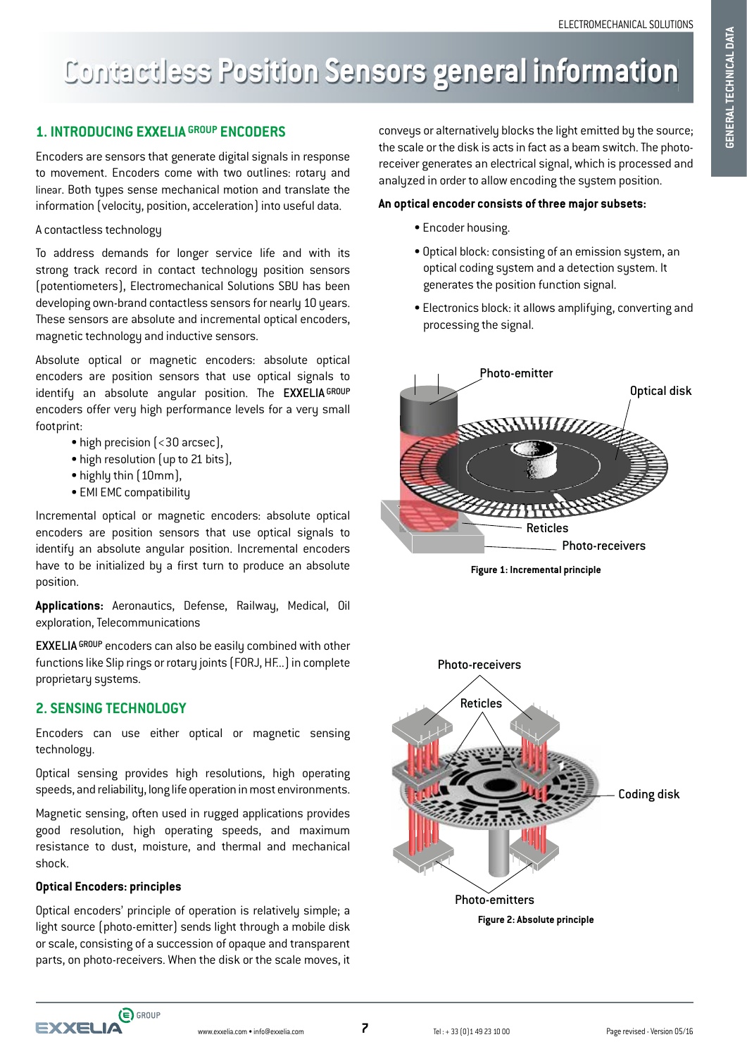# **Contactless Position Sensors general information**

### **1. INTRODUCING EXXELIA GROUP ENCODERS**

Encoders are sensors that generate digital signals in response to movement. Encoders come with two outlines: rotary and linear. Both types sense mechanical motion and translate the information (velocity, position, acceleration) into useful data.

#### A contactless technology

To address demands for longer service life and with its strong track record in contact technology position sensors (potentiometers), Electromechanical Solutions SBU has been developing own-brand contactless sensors for nearly 10 years. These sensors are absolute and incremental optical encoders, magnetic technology and inductive sensors.

Absolute optical or magnetic encoders: absolute optical encoders are position sensors that use optical signals to identify an absolute angular position. The EXXELIA GROUP encoders offer very high performance levels for a very small footprint:

- high precision (<30 arcsec),
- high resolution (up to 21 bits),
- highly thin (10mm),
- EMI EMC compatibility

Incremental optical or magnetic encoders: absolute optical encoders are position sensors that use optical signals to identify an absolute angular position. Incremental encoders have to be initialized by a first turn to produce an absolute position.

**Applications:** Aeronautics, Defense, Railway, Medical, Oil exploration, Telecommunications

EXXELIA GROUP encoders can also be easily combined with other functions like Slip rings or rotary joints (FORJ, HF...) in complete proprietary systems.

### **2. SENSING TECHNOLOGY**

Encoders can use either optical or magnetic sensing technology.

Optical sensing provides high resolutions, high operating speeds, and reliability, long life operation in most environments.

Magnetic sensing, often used in rugged applications provides good resolution, high operating speeds, and maximum resistance to dust, moisture, and thermal and mechanical shock.

### **Optical Encoders: principles**

Optical encoders' principle of operation is relatively simple; a light source (photo-emitter) sends light through a mobile disk or scale, consisting of a succession of opaque and transparent parts, on photo-receivers. When the disk or the scale moves, it

conveys or alternatively blocks the light emitted by the source; the scale or the disk is acts in fact as a beam switch. The photoreceiver generates an electrical signal, which is processed and analyzed in order to allow encoding the system position.

#### **An optical encoder consists of three major subsets:**

- Encoder housing.
- Optical block: consisting of an emission system, an optical coding system and a detection system. It generates the position function signal.
- Electronics block: it allows amplifying, converting and processing the signal.



**Figure 1: Incremental principle**

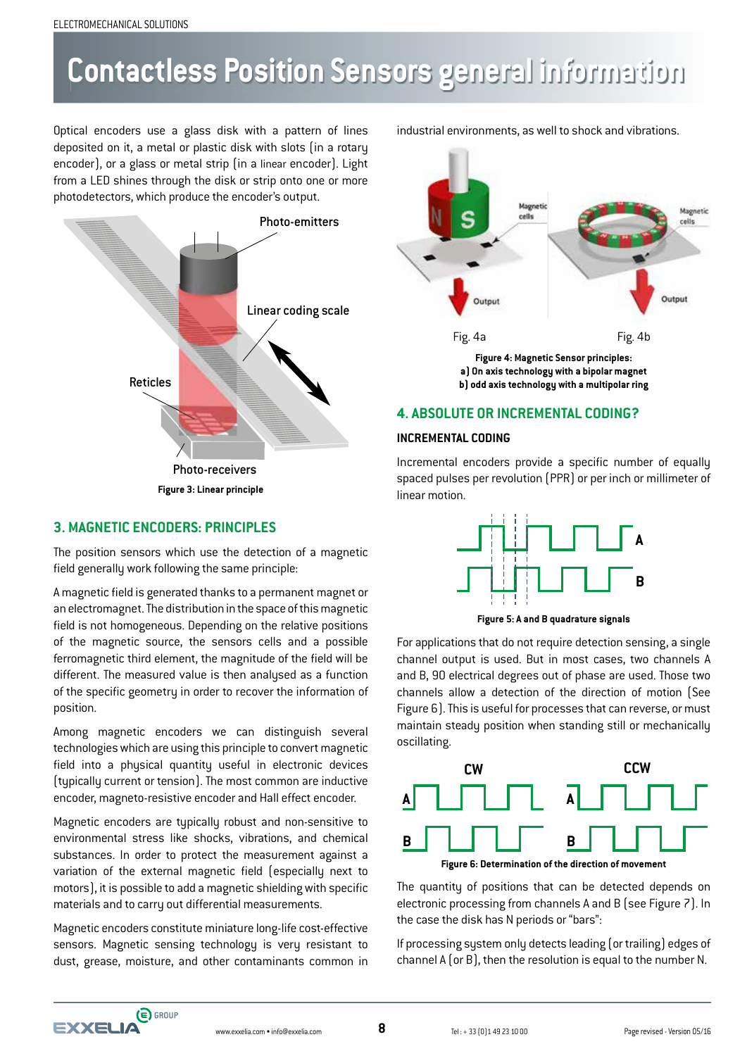# **Contactless Position Sensors general information**

Optical encoders use a glass disk with a pattern of lines deposited on it, a metal or plastic disk with slots (in a rotary encoder), or a glass or metal strip (in a linear encoder). Light from a LED shines through the disk or strip onto one or more photodetectors, which produce the encoder's output.



### **3. MAGNETIC ENCODERS: PRINCIPLES**

The position sensors which use the detection of a magnetic field generally work following the same principle:

A magnetic field is generated thanks to a permanent magnet or an electromagnet. The distribution in the space of this magnetic field is not homogeneous. Depending on the relative positions of the magnetic source, the sensors cells and a possible ferromagnetic third element, the magnitude of the field will be different. The measured value is then analysed as a function of the specific geometry in order to recover the information of position.

Among magnetic encoders we can distinguish several technologies which are using this principle to convert magnetic field into a physical quantity useful in electronic devices (typically current or tension). The most common are inductive encoder, magneto-resistive encoder and Hall effect encoder.

Magnetic encoders are typically robust and non-sensitive to environmental stress like shocks, vibrations, and chemical substances. In order to protect the measurement against a variation of the external magnetic field (especially next to motors), it is possible to add a magnetic shielding with specific materials and to carry out differential measurements.

Magnetic encoders constitute miniature long-life cost-effective sensors. Magnetic sensing technology is very resistant to dust, grease, moisture, and other contaminants common in industrial environments, as well to shock and vibrations.



## **b) odd axis technology with a multipolar ring**

### **4. ABSOLUTE OR INCREMENTAL CODING?**

### **INCREMENTAL CODING**

Incremental encoders provide a specific number of equally spaced pulses per revolution (PPR) or per inch or millimeter of linear motion.



**Figure 5: A and B quadrature signals**

For applications that do not require detection sensing, a single channel output is used. But in most cases, two channels A and B, 90 electrical degrees out of phase are used. Those two channels allow a detection of the direction of motion (See Figure 6). This is useful for processes that can reverse, or must maintain steady position when standing still or mechanically oscillating.



The quantity of positions that can be detected depends on electronic processing from channels A and B (see Figure 7). In the case the disk has N periods or "bars":

If processing system only detects leading (or trailing) edges of channel A (or B), then the resolution is equal to the number N.